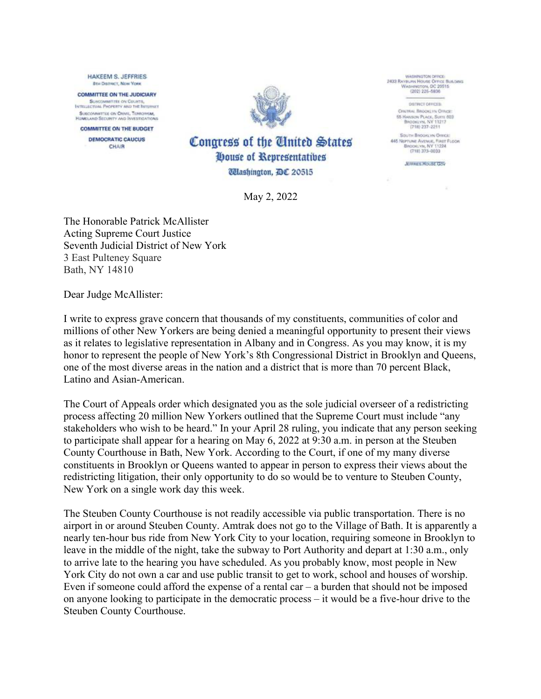**HAKEEM S. JEFFRIES BIH DISTRICT, NEW YORK COMMITTEE ON THE JUDICIARY** SUSCOMMETER ON COUNTS,

SURCOMMITTEE ON CHAIR, TERRORISM **HOMELAND SECURITY AND INVESTIGATION** 

**COMMITTEE ON THE BUDGET DEMOCRATIC CAUCUS** CHAIR



WASHINGTON OFFICE: 2433 RAVINJAN HOUSE OFFICE BY<br>WASHINGTON, DC 20515<br>(202) 225-5936 Bus bing

> DRIBUT OFFICER CENTRAL BROOKLYN OFFICE: 55 HANSON PLACE, SUITE 603 BROOKLYN, NY 11217<br>(718) 237-2211

South Brookury Omar 445 NEPTUNE AVENUE, FINIT FLOOR<br>BROOKLYN, NY 11224<br>(718) 373-0033

**JEFFRIES HOUSE GOV** 

Congress of the Tinited States **Oouse of Representatives** *Ulashington, DC 20515* 

May 2, 2022

The Honorable Patrick McAllister Acting Supreme Court Justice Seventh Judicial District of New York 3 East Pulteney Square Bath, NY 14810

Dear Judge McAllister:

I write to express grave concern that thousands of my constituents, communities of color and millions of other New Yorkers are being denied a meaningful opportunity to present their views as it relates to legislative representation in Albany and in Congress. As you may know, it is my honor to represent the people of New York's 8th Congressional District in Brooklyn and Queens, one of the most diverse areas in the nation and a district that is more than 70 percent Black, Latino and Asian-American.

The Court of Appeals order which designated you as the sole judicial overseer of a redistricting process affecting 20 million New Yorkers outlined that the Supreme Court must include "any stakeholders who wish to be heard." In your April 28 ruling, you indicate that any person seeking to participate shall appear for a hearing on May 6, 2022 at 9:30 a.m. in person at the Steuben County Courthouse in Bath, New York. According to the Court, if one of my many diverse constituents in Brooklyn or Queens wanted to appear in person to express their views about the redistricting litigation, their only opportunity to do so would be to venture to Steuben County, New York on a single work day this week.

The Steuben County Courthouse is not readily accessible via public transportation. There is no airport in or around Steuben County. Amtrak does not go to the Village of Bath. It is apparently a nearly ten-hour bus ride from New York City to your location, requiring someone in Brooklyn to leave in the middle of the night, take the subway to Port Authority and depart at 1:30 a.m., only to arrive late to the hearing you have scheduled. As you probably know, most people in New York City do not own a car and use public transit to get to work, school and houses of worship. Even if someone could afford the expense of a rental car  $-$  a burden that should not be imposed on anyone looking to participate in the democratic process – it would be a five-hour drive to the Steuben County Courthouse.